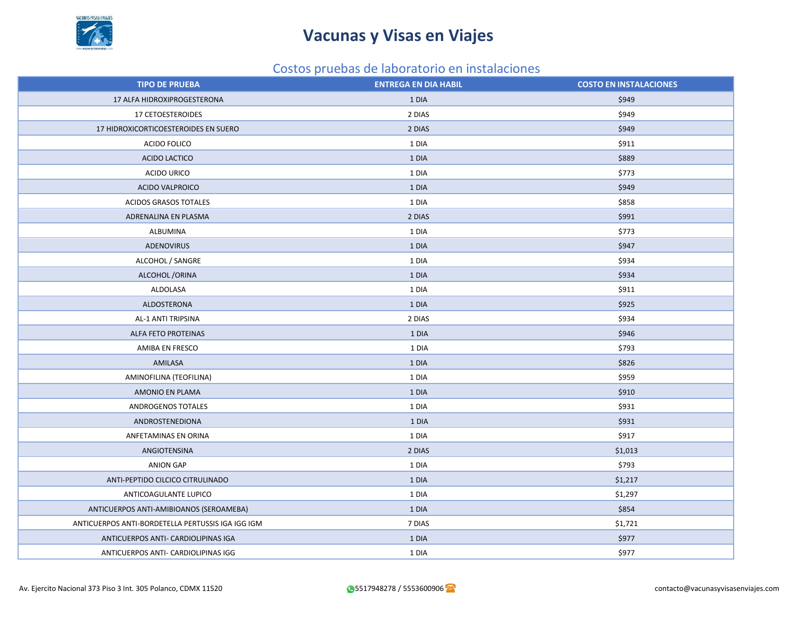

### Costos pruebas de laboratorio en instalaciones

| <b>TIPO DE PRUEBA</b>                             | <b>ENTREGA EN DIA HABIL</b> | <b>COSTO EN INSTALACIONES</b> |
|---------------------------------------------------|-----------------------------|-------------------------------|
| 17 ALFA HIDROXIPROGESTERONA                       | 1 DIA                       | \$949                         |
| 17 CETOESTEROIDES                                 | 2 DIAS                      | \$949                         |
| 17 HIDROXICORTICOESTEROIDES EN SUERO              | 2 DIAS                      | \$949                         |
| ACIDO FOLICO                                      | 1 DIA                       | \$911                         |
| ACIDO LACTICO                                     | 1 DIA                       | \$889                         |
| <b>ACIDO URICO</b>                                | 1 DIA                       | \$773                         |
| ACIDO VALPROICO                                   | 1 DIA                       | \$949                         |
| <b>ACIDOS GRASOS TOTALES</b>                      | 1 DIA                       | \$858                         |
| ADRENALINA EN PLASMA                              | 2 DIAS                      | \$991                         |
| ALBUMINA                                          | 1 DIA                       | \$773                         |
| ADENOVIRUS                                        | 1 DIA                       | \$947                         |
| ALCOHOL / SANGRE                                  | 1 DIA                       | \$934                         |
| ALCOHOL / ORINA                                   | 1 DIA                       | \$934                         |
| ALDOLASA                                          | 1 DIA                       | \$911                         |
| ALDOSTERONA                                       | 1 DIA                       | \$925                         |
| AL-1 ANTI TRIPSINA                                | 2 DIAS                      | \$934                         |
| ALFA FETO PROTEINAS                               | 1 DIA                       | \$946                         |
| AMIBA EN FRESCO                                   | 1 DIA                       | \$793                         |
| AMILASA                                           | 1 DIA                       | \$826                         |
| AMINOFILINA (TEOFILINA)                           | 1 DIA                       | \$959                         |
| AMONIO EN PLAMA                                   | 1 DIA                       | \$910                         |
| ANDROGENOS TOTALES                                | 1 DIA                       | \$931                         |
| ANDROSTENEDIONA                                   | 1 DIA                       | \$931                         |
| ANFETAMINAS EN ORINA                              | 1 DIA                       | \$917                         |
| ANGIOTENSINA                                      | 2 DIAS                      | \$1,013                       |
| <b>ANION GAP</b>                                  | 1 DIA                       | \$793                         |
| ANTI-PEPTIDO CILCICO CITRULINADO                  | 1 DIA                       | \$1,217                       |
| ANTICOAGULANTE LUPICO                             | 1 DIA                       | \$1,297                       |
| ANTICUERPOS ANTI-AMIBIOANOS (SEROAMEBA)           | 1 DIA                       | \$854                         |
| ANTICUERPOS ANTI-BORDETELLA PERTUSSIS IGA IGG IGM | 7 DIAS                      | \$1,721                       |
| ANTICUERPOS ANTI- CARDIOLIPINAS IGA               | 1 DIA                       | \$977                         |
| ANTICUERPOS ANTI- CARDIOLIPINAS IGG               | 1 DIA                       | \$977                         |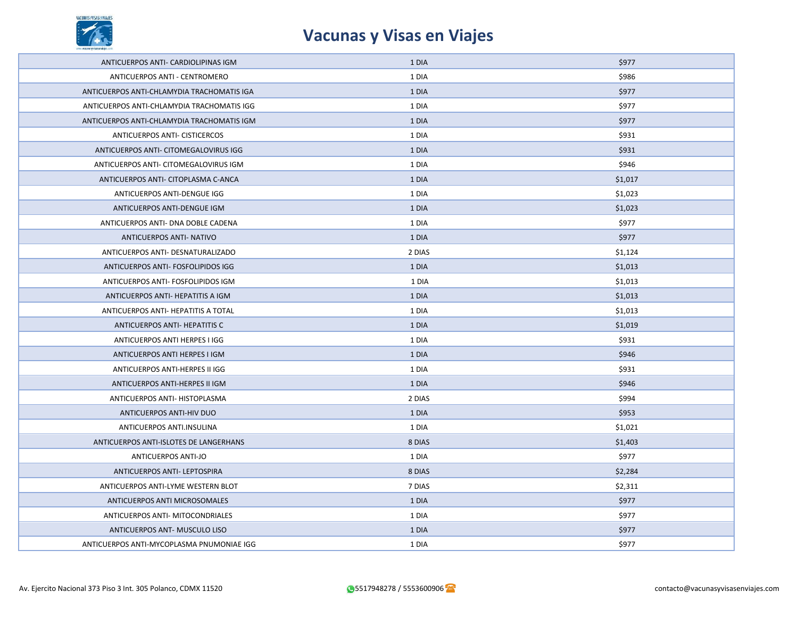

| ANTICUERPOS ANTI- CARDIOLIPINAS IGM        | 1 DIA  | \$977   |
|--------------------------------------------|--------|---------|
| ANTICUERPOS ANTI - CENTROMERO              | 1 DIA  | \$986   |
| ANTICUERPOS ANTI-CHLAMYDIA TRACHOMATIS IGA | 1 DIA  | \$977   |
| ANTICUERPOS ANTI-CHLAMYDIA TRACHOMATIS IGG | 1 DIA  | \$977   |
| ANTICUERPOS ANTI-CHLAMYDIA TRACHOMATIS IGM | 1 DIA  | \$977   |
| ANTICUERPOS ANTI- CISTICERCOS              | 1 DIA  | \$931   |
| ANTICUERPOS ANTI- CITOMEGALOVIRUS IGG      | 1 DIA  | \$931   |
| ANTICUERPOS ANTI- CITOMEGALOVIRUS IGM      | 1 DIA  | \$946   |
| ANTICUERPOS ANTI- CITOPLASMA C-ANCA        | 1 DIA  | \$1,017 |
| ANTICUERPOS ANTI-DENGUE IGG                | 1 DIA  | \$1,023 |
| ANTICUERPOS ANTI-DENGUE IGM                | 1 DIA  | \$1,023 |
| ANTICUERPOS ANTI- DNA DOBLE CADENA         | 1 DIA  | \$977   |
| ANTICUERPOS ANTI- NATIVO                   | 1 DIA  | \$977   |
| ANTICUERPOS ANTI- DESNATURALIZADO          | 2 DIAS | \$1,124 |
| ANTICUERPOS ANTI- FOSFOLIPIDOS IGG         | 1 DIA  | \$1,013 |
| ANTICUERPOS ANTI- FOSFOLIPIDOS IGM         | 1 DIA  | \$1,013 |
| ANTICUERPOS ANTI- HEPATITIS A IGM          | 1 DIA  | \$1,013 |
| ANTICUERPOS ANTI- HEPATITIS A TOTAL        | 1 DIA  | \$1,013 |
| ANTICUERPOS ANTI- HEPATITIS C              | 1 DIA  | \$1,019 |
| ANTICUERPOS ANTI HERPES I IGG              | 1 DIA  | \$931   |
| ANTICUERPOS ANTI HERPES I IGM              | 1 DIA  | \$946   |
| ANTICUERPOS ANTI-HERPES II IGG             | 1 DIA  | \$931   |
| ANTICUERPOS ANTI-HERPES II IGM             | 1 DIA  | \$946   |
| ANTICUERPOS ANTI- HISTOPLASMA              | 2 DIAS | \$994   |
| ANTICUERPOS ANTI-HIV DUO                   | 1 DIA  | \$953   |
| ANTICUERPOS ANTI.INSULINA                  | 1 DIA  | \$1,021 |
| ANTICUERPOS ANTI-ISLOTES DE LANGERHANS     | 8 DIAS | \$1,403 |
| ANTICUERPOS ANTI-JO                        | 1 DIA  | \$977   |
| ANTICUERPOS ANTI- LEPTOSPIRA               | 8 DIAS | \$2,284 |
| ANTICUERPOS ANTI-LYME WESTERN BLOT         | 7 DIAS | \$2,311 |
| ANTICUERPOS ANTI MICROSOMALES              | 1 DIA  | \$977   |
| ANTICUERPOS ANTI- MITOCONDRIALES           | 1 DIA  | \$977   |
| ANTICUERPOS ANT- MUSCULO LISO              | 1 DIA  | \$977   |
| ANTICUERPOS ANTI-MYCOPLASMA PNUMONIAE IGG  | 1 DIA  | \$977   |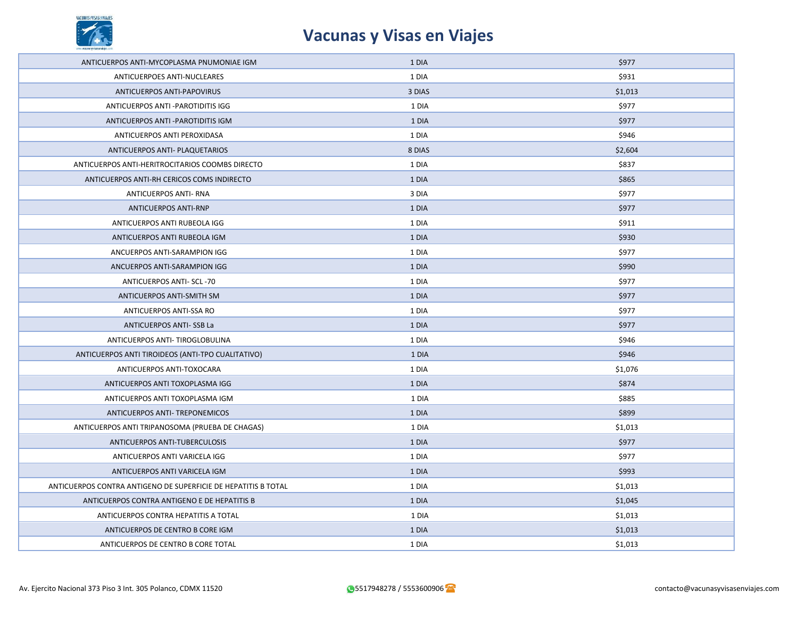

| ANTICUERPOS ANTI-MYCOPLASMA PNUMONIAE IGM                      | 1 DIA  | \$977   |
|----------------------------------------------------------------|--------|---------|
| ANTICUERPOES ANTI-NUCLEARES                                    | 1 DIA  | \$931   |
| ANTICUERPOS ANTI-PAPOVIRUS                                     | 3 DIAS | \$1,013 |
| ANTICUERPOS ANTI-PAROTIDITIS IGG                               | 1 DIA  | \$977   |
| ANTICUERPOS ANTI-PAROTIDITIS IGM                               | 1 DIA  | \$977   |
| ANTICUERPOS ANTI PEROXIDASA                                    | 1 DIA  | \$946   |
| ANTICUERPOS ANTI- PLAQUETARIOS                                 | 8 DIAS | \$2,604 |
| ANTICUERPOS ANTI-HERITROCITARIOS COOMBS DIRECTO                | 1 DIA  | \$837   |
| ANTICUERPOS ANTI-RH CERICOS COMS INDIRECTO                     | 1 DIA  | \$865   |
| <b>ANTICUERPOS ANTI- RNA</b>                                   | 3 DIA  | \$977   |
| <b>ANTICUERPOS ANTI-RNP</b>                                    | 1 DIA  | \$977   |
| ANTICUERPOS ANTI RUBEOLA IGG                                   | 1 DIA  | \$911   |
| ANTICUERPOS ANTI RUBEOLA IGM                                   | 1 DIA  | \$930   |
| ANCUERPOS ANTI-SARAMPION IGG                                   | 1 DIA  | \$977   |
| ANCUERPOS ANTI-SARAMPION IGG                                   | 1 DIA  | \$990   |
| ANTICUERPOS ANTI- SCL-70                                       | 1 DIA  | \$977   |
| ANTICUERPOS ANTI-SMITH SM                                      | 1 DIA  | \$977   |
| ANTICUERPOS ANTI-SSA RO                                        | 1 DIA  | \$977   |
| <b>ANTICUERPOS ANTI- SSB La</b>                                | 1 DIA  | \$977   |
| ANTICUERPOS ANTI- TIROGLOBULINA                                | 1 DIA  | \$946   |
| ANTICUERPOS ANTI TIROIDEOS (ANTI-TPO CUALITATIVO)              | 1 DIA  | \$946   |
| ANTICUERPOS ANTI-TOXOCARA                                      | 1 DIA  | \$1,076 |
| ANTICUERPOS ANTI TOXOPLASMA IGG                                | 1 DIA  | \$874   |
| ANTICUERPOS ANTI TOXOPLASMA IGM                                | 1 DIA  | \$885   |
| <b>ANTICUERPOS ANTI- TREPONEMICOS</b>                          | 1 DIA  | \$899   |
| ANTICUERPOS ANTI TRIPANOSOMA (PRUEBA DE CHAGAS)                | 1 DIA  | \$1,013 |
| <b>ANTICUERPOS ANTI-TUBERCULOSIS</b>                           | 1 DIA  | \$977   |
| ANTICUERPOS ANTI VARICELA IGG                                  | 1 DIA  | \$977   |
| ANTICUERPOS ANTI VARICELA IGM                                  | 1 DIA  | \$993   |
| ANTICUERPOS CONTRA ANTIGENO DE SUPERFICIE DE HEPATITIS B TOTAL | 1 DIA  | \$1,013 |
| ANTICUERPOS CONTRA ANTIGENO E DE HEPATITIS B                   | 1 DIA  | \$1,045 |
| ANTICUERPOS CONTRA HEPATITIS A TOTAL                           | 1 DIA  | \$1,013 |
| ANTICUERPOS DE CENTRO B CORE IGM                               | 1 DIA  | \$1,013 |
| ANTICUERPOS DE CENTRO B CORE TOTAL                             | 1 DIA  | \$1,013 |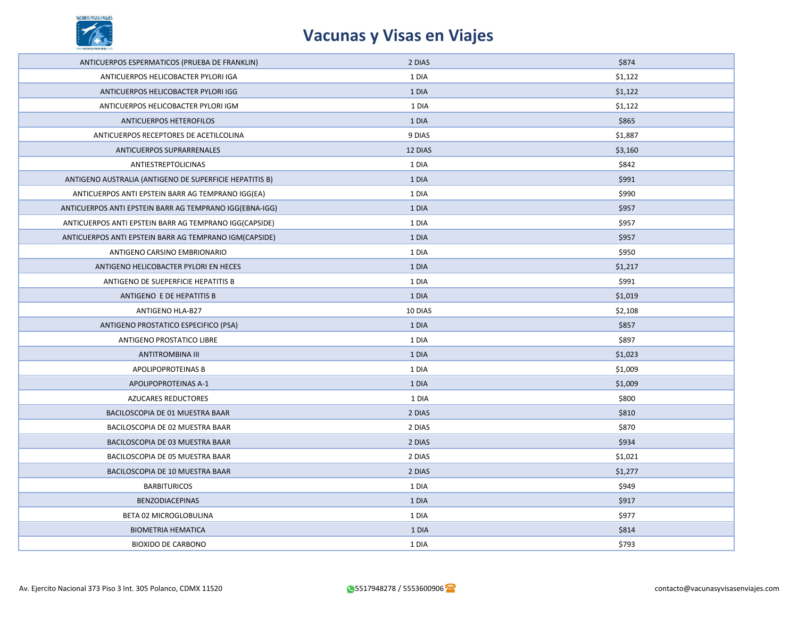

| ANTICUERPOS ESPERMATICOS (PRUEBA DE FRANKLIN)           | 2 DIAS  | \$874   |
|---------------------------------------------------------|---------|---------|
| ANTICUERPOS HELICOBACTER PYLORI IGA                     | 1 DIA   | \$1,122 |
| ANTICUERPOS HELICOBACTER PYLORI IGG                     | 1 DIA   | \$1,122 |
| ANTICUERPOS HELICOBACTER PYLORI IGM                     | 1 DIA   | \$1,122 |
| ANTICUERPOS HETEROFILOS                                 | 1 DIA   | \$865   |
| ANTICUERPOS RECEPTORES DE ACETILCOLINA                  | 9 DIAS  | \$1,887 |
| ANTICUERPOS SUPRARRENALES                               | 12 DIAS | \$3,160 |
| ANTIESTREPTOLICINAS                                     | 1 DIA   | \$842   |
| ANTIGENO AUSTRALIA (ANTIGENO DE SUPERFICIE HEPATITIS B) | 1 DIA   | \$991   |
| ANTICUERPOS ANTI EPSTEIN BARR AG TEMPRANO IGG(EA)       | 1 DIA   | \$990   |
| ANTICUERPOS ANTI EPSTEIN BARR AG TEMPRANO IGG(EBNA-IGG) | 1 DIA   | \$957   |
| ANTICUERPOS ANTI EPSTEIN BARR AG TEMPRANO IGG(CAPSIDE)  | 1 DIA   | \$957   |
| ANTICUERPOS ANTI EPSTEIN BARR AG TEMPRANO IGM(CAPSIDE)  | 1 DIA   | \$957   |
| ANTIGENO CARSINO EMBRIONARIO                            | 1 DIA   | \$950   |
| ANTIGENO HELICOBACTER PYLORI EN HECES                   | 1 DIA   | \$1,217 |
| ANTIGENO DE SUEPERFICIE HEPATITIS B                     | 1 DIA   | \$991   |
| ANTIGENO E DE HEPATITIS B                               | 1 DIA   | \$1,019 |
| ANTIGENO HLA-B27                                        | 10 DIAS | \$2,108 |
| ANTIGENO PROSTATICO ESPECIFICO (PSA)                    | 1 DIA   | \$857   |
| ANTIGENO PROSTATICO LIBRE                               | 1 DIA   | \$897   |
| <b>ANTITROMBINA III</b>                                 | 1 DIA   | \$1,023 |
| APOLIPOPROTEINAS B                                      | 1 DIA   | \$1,009 |
| APOLIPOPROTEINAS A-1                                    | 1 DIA   | \$1,009 |
| <b>AZUCARES REDUCTORES</b>                              | 1 DIA   | \$800   |
| BACILOSCOPIA DE 01 MUESTRA BAAR                         | 2 DIAS  | \$810   |
| BACILOSCOPIA DE 02 MUESTRA BAAR                         | 2 DIAS  | \$870   |
| BACILOSCOPIA DE 03 MUESTRA BAAR                         | 2 DIAS  | \$934   |
| BACILOSCOPIA DE 05 MUESTRA BAAR                         | 2 DIAS  | \$1,021 |
| BACILOSCOPIA DE 10 MUESTRA BAAR                         | 2 DIAS  | \$1,277 |
| <b>BARBITURICOS</b>                                     | 1 DIA   | \$949   |
| <b>BENZODIACEPINAS</b>                                  | 1 DIA   | \$917   |
| BETA 02 MICROGLOBULINA                                  | 1 DIA   | \$977   |
| <b>BIOMETRIA HEMATICA</b>                               | 1 DIA   | \$814   |
| <b>BIOXIDO DE CARBONO</b>                               | 1 DIA   | \$793   |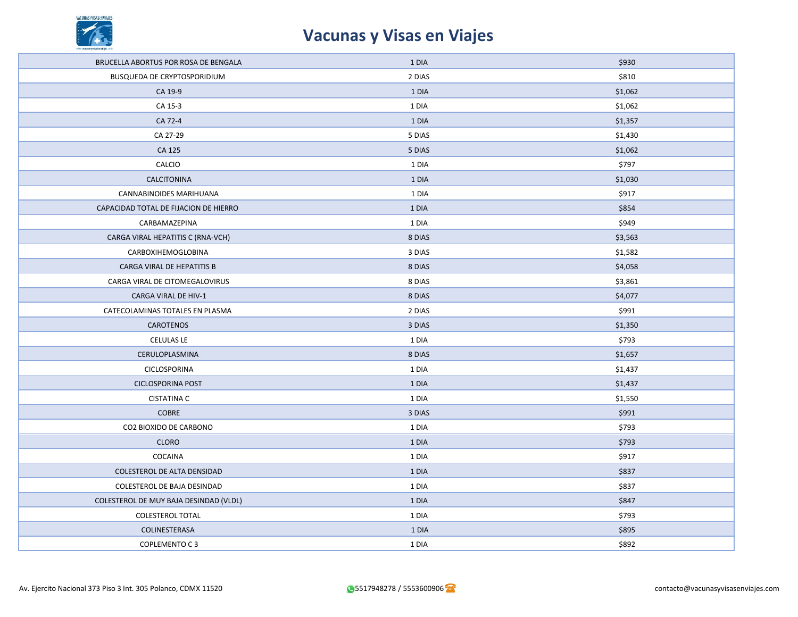

| BRUCELLA ABORTUS POR ROSA DE BENGALA   | 1 DIA  | \$930   |
|----------------------------------------|--------|---------|
| BUSQUEDA DE CRYPTOSPORIDIUM            | 2 DIAS | \$810   |
| CA 19-9                                | 1 DIA  | \$1,062 |
| CA 15-3                                | 1 DIA  | \$1,062 |
| CA 72-4                                | 1 DIA  | \$1,357 |
| CA 27-29                               | 5 DIAS | \$1,430 |
| CA 125                                 | 5 DIAS | \$1,062 |
| CALCIO                                 | 1 DIA  | \$797   |
| CALCITONINA                            | 1 DIA  | \$1,030 |
| CANNABINOIDES MARIHUANA                | 1 DIA  | \$917   |
| CAPACIDAD TOTAL DE FIJACION DE HIERRO  | 1 DIA  | \$854   |
| CARBAMAZEPINA                          | 1 DIA  | \$949   |
| CARGA VIRAL HEPATITIS C (RNA-VCH)      | 8 DIAS | \$3,563 |
| CARBOXIHEMOGLOBINA                     | 3 DIAS | \$1,582 |
| CARGA VIRAL DE HEPATITIS B             | 8 DIAS | \$4,058 |
| CARGA VIRAL DE CITOMEGALOVIRUS         | 8 DIAS | \$3,861 |
| CARGA VIRAL DE HIV-1                   | 8 DIAS | \$4,077 |
| CATECOLAMINAS TOTALES EN PLASMA        | 2 DIAS | \$991   |
| CAROTENOS                              | 3 DIAS | \$1,350 |
| CELULAS LE                             | 1 DIA  | \$793   |
| CERULOPLASMINA                         | 8 DIAS | \$1,657 |
| CICLOSPORINA                           | 1 DIA  | \$1,437 |
| <b>CICLOSPORINA POST</b>               | 1 DIA  | \$1,437 |
| <b>CISTATINA C</b>                     | 1 DIA  | \$1,550 |
| <b>COBRE</b>                           | 3 DIAS | \$991   |
| CO2 BIOXIDO DE CARBONO                 | 1 DIA  | \$793   |
| <b>CLORO</b>                           | 1 DIA  | \$793   |
| COCAINA                                | 1 DIA  | \$917   |
| COLESTEROL DE ALTA DENSIDAD            | 1 DIA  | \$837   |
| COLESTEROL DE BAJA DESINDAD            | 1 DIA  | \$837   |
| COLESTEROL DE MUY BAJA DESINDAD (VLDL) | 1 DIA  | \$847   |
| <b>COLESTEROL TOTAL</b>                | 1 DIA  | \$793   |
| COLINESTERASA                          | 1 DIA  | \$895   |
| COPLEMENTO C3                          | 1 DIA  | \$892   |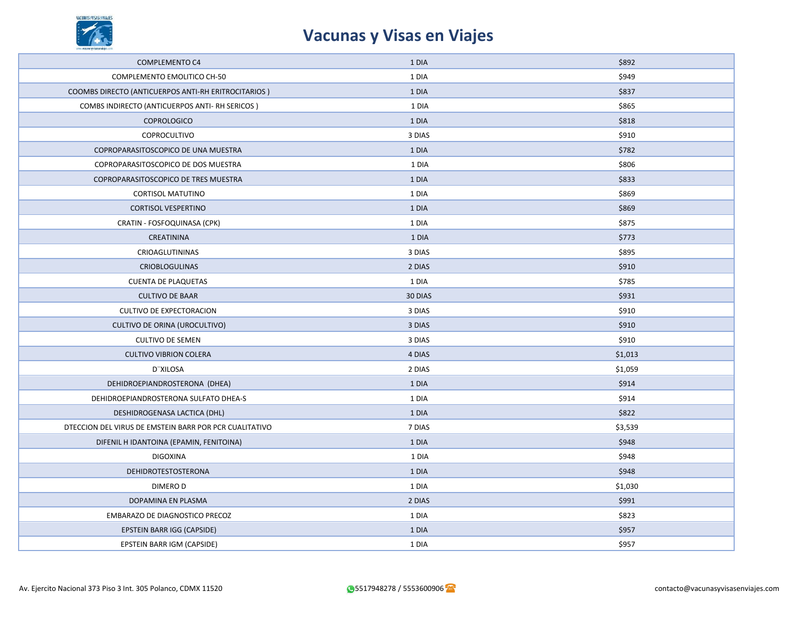

| COMPLEMENTO C4                                         | 1 DIA   | \$892   |
|--------------------------------------------------------|---------|---------|
| COMPLEMENTO EMOLITICO CH-50                            | 1 DIA   | \$949   |
| COOMBS DIRECTO (ANTICUERPOS ANTI-RH ERITROCITARIOS)    | 1 DIA   | \$837   |
| COMBS INDIRECTO (ANTICUERPOS ANTI- RH SERICOS)         | 1 DIA   | \$865   |
| <b>COPROLOGICO</b>                                     | 1 DIA   | \$818   |
| COPROCULTIVO                                           | 3 DIAS  | \$910   |
| COPROPARASITOSCOPICO DE UNA MUESTRA                    | 1 DIA   | \$782   |
| COPROPARASITOSCOPICO DE DOS MUESTRA                    | 1 DIA   | \$806   |
| COPROPARASITOSCOPICO DE TRES MUESTRA                   | 1 DIA   | \$833   |
| <b>CORTISOL MATUTINO</b>                               | 1 DIA   | \$869   |
| <b>CORTISOL VESPERTINO</b>                             | 1 DIA   | \$869   |
| CRATIN - FOSFOQUINASA (CPK)                            | 1 DIA   | \$875   |
| CREATININA                                             | 1 DIA   | \$773   |
| CRIOAGLUTININAS                                        | 3 DIAS  | \$895   |
| <b>CRIOBLOGULINAS</b>                                  | 2 DIAS  | \$910   |
| <b>CUENTA DE PLAQUETAS</b>                             | 1 DIA   | \$785   |
| <b>CULTIVO DE BAAR</b>                                 | 30 DIAS | \$931   |
| CULTIVO DE EXPECTORACION                               | 3 DIAS  | \$910   |
| CULTIVO DE ORINA (UROCULTIVO)                          | 3 DIAS  | \$910   |
| <b>CULTIVO DE SEMEN</b>                                | 3 DIAS  | \$910   |
| <b>CULTIVO VIBRION COLERA</b>                          | 4 DIAS  | \$1,013 |
| D"XILOSA                                               | 2 DIAS  | \$1,059 |
| DEHIDROEPIANDROSTERONA (DHEA)                          | 1 DIA   | \$914   |
| DEHIDROEPIANDROSTERONA SULFATO DHEA-S                  | 1 DIA   | \$914   |
| DESHIDROGENASA LACTICA (DHL)                           | 1 DIA   | \$822   |
| DTECCION DEL VIRUS DE EMSTEIN BARR POR PCR CUALITATIVO | 7 DIAS  | \$3,539 |
| DIFENIL H IDANTOINA (EPAMIN, FENITOINA)                | 1 DIA   | \$948   |
| <b>DIGOXINA</b>                                        | 1 DIA   | \$948   |
| DEHIDROTESTOSTERONA                                    | 1 DIA   | \$948   |
| DIMERO D                                               | 1 DIA   | \$1,030 |
| DOPAMINA EN PLASMA                                     | 2 DIAS  | \$991   |
| EMBARAZO DE DIAGNOSTICO PRECOZ                         | 1 DIA   | \$823   |
| EPSTEIN BARR IGG (CAPSIDE)                             | 1 DIA   | \$957   |
| EPSTEIN BARR IGM (CAPSIDE)                             | 1 DIA   | \$957   |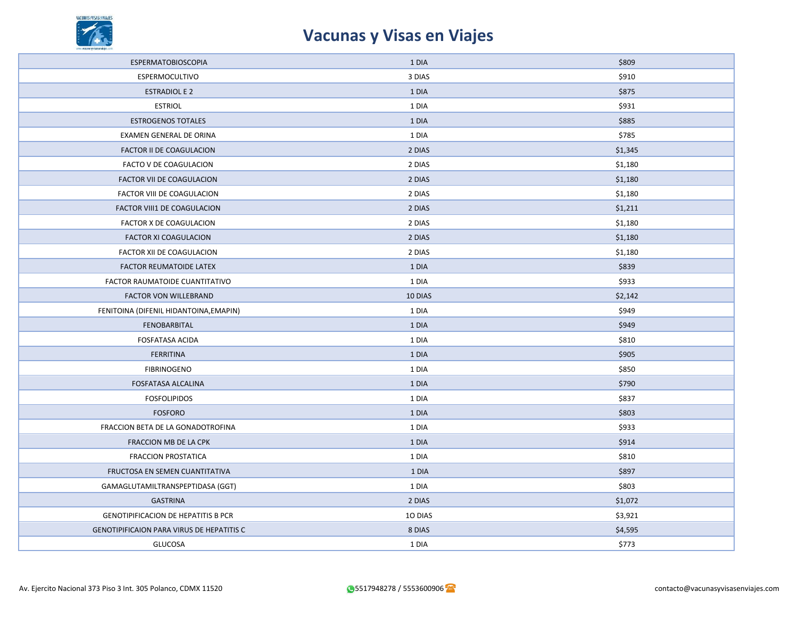

| <b>ESPERMATOBIOSCOPIA</b>                        | 1 DIA   | \$809   |
|--------------------------------------------------|---------|---------|
| ESPERMOCULTIVO                                   | 3 DIAS  | \$910   |
| <b>ESTRADIOL E 2</b>                             | 1 DIA   | \$875   |
| <b>ESTRIOL</b>                                   | 1 DIA   | \$931   |
| <b>ESTROGENOS TOTALES</b>                        | 1 DIA   | \$885   |
| EXAMEN GENERAL DE ORINA                          | 1 DIA   | \$785   |
| FACTOR II DE COAGULACION                         | 2 DIAS  | \$1,345 |
| FACTO V DE COAGULACION                           | 2 DIAS  | \$1,180 |
| FACTOR VII DE COAGULACION                        | 2 DIAS  | \$1,180 |
| FACTOR VIII DE COAGULACION                       | 2 DIAS  | \$1,180 |
| FACTOR VIII1 DE COAGULACION                      | 2 DIAS  | \$1,211 |
| FACTOR X DE COAGULACION                          | 2 DIAS  | \$1,180 |
| <b>FACTOR XI COAGULACION</b>                     | 2 DIAS  | \$1,180 |
| FACTOR XII DE COAGULACION                        | 2 DIAS  | \$1,180 |
| <b>FACTOR REUMATOIDE LATEX</b>                   | 1 DIA   | \$839   |
| FACTOR RAUMATOIDE CUANTITATIVO                   | 1 DIA   | \$933   |
| FACTOR VON WILLEBRAND                            | 10 DIAS | \$2,142 |
| FENITOINA (DIFENIL HIDANTOINA, EMAPIN)           | 1 DIA   | \$949   |
| FENOBARBITAL                                     | 1 DIA   | \$949   |
| <b>FOSFATASA ACIDA</b>                           | 1 DIA   | \$810   |
| <b>FERRITINA</b>                                 | 1 DIA   | \$905   |
| <b>FIBRINOGENO</b>                               | 1 DIA   | \$850   |
| FOSFATASA ALCALINA                               | 1 DIA   | \$790   |
| <b>FOSFOLIPIDOS</b>                              | 1 DIA   | \$837   |
| <b>FOSFORO</b>                                   | 1 DIA   | \$803   |
| FRACCION BETA DE LA GONADOTROFINA                | 1 DIA   | \$933   |
| FRACCION MB DE LA CPK                            | 1 DIA   | \$914   |
| <b>FRACCION PROSTATICA</b>                       | 1 DIA   | \$810   |
| FRUCTOSA EN SEMEN CUANTITATIVA                   | 1 DIA   | \$897   |
| GAMAGLUTAMILTRANSPEPTIDASA (GGT)                 | 1 DIA   | \$803   |
| <b>GASTRINA</b>                                  | 2 DIAS  | \$1,072 |
| <b>GENOTIPIFICACION DE HEPATITIS B PCR</b>       | 10 DIAS | \$3,921 |
| <b>GENOTIPIFICAION PARA VIRUS DE HEPATITIS C</b> | 8 DIAS  | \$4,595 |
| <b>GLUCOSA</b>                                   | 1 DIA   | \$773   |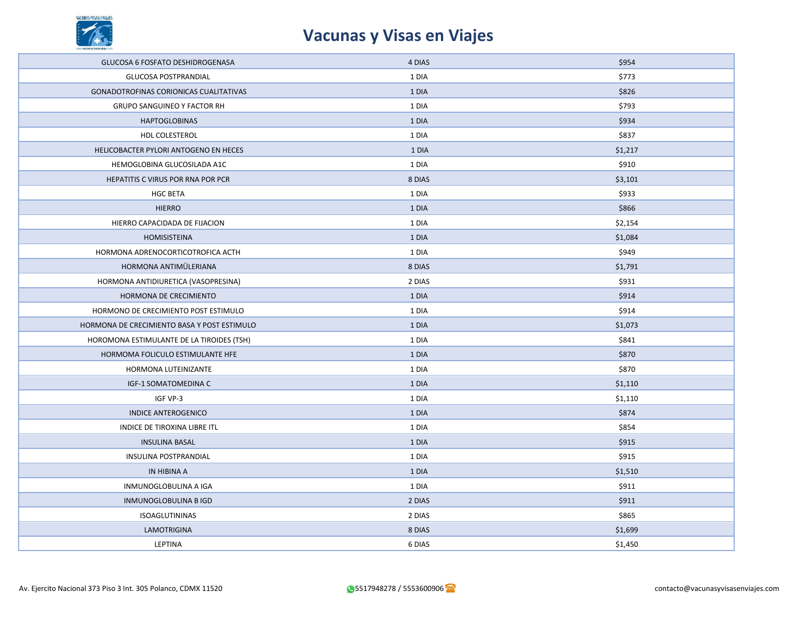

| GLUCOSA 6 FOSFATO DESHIDROGENASA            | 4 DIAS | \$954   |
|---------------------------------------------|--------|---------|
| GLUCOSA POSTPRANDIAL                        | 1 DIA  | \$773   |
| GONADOTROFINAS CORIONICAS CUALITATIVAS      | 1 DIA  | \$826   |
| <b>GRUPO SANGUINEO Y FACTOR RH</b>          | 1 DIA  | \$793   |
| <b>HAPTOGLOBINAS</b>                        | 1 DIA  | \$934   |
| HDL COLESTEROL                              | 1 DIA  | \$837   |
| HELICOBACTER PYLORI ANTOGENO EN HECES       | 1 DIA  | \$1,217 |
| HEMOGLOBINA GLUCOSILADA A1C                 | 1 DIA  | \$910   |
| HEPATITIS C VIRUS POR RNA POR PCR           | 8 DIAS | \$3,101 |
| <b>HGC BETA</b>                             | 1 DIA  | \$933   |
| <b>HIERRO</b>                               | 1 DIA  | \$866   |
| HIERRO CAPACIDADA DE FIJACION               | 1 DIA  | \$2,154 |
| HOMISISTEINA                                | 1 DIA  | \$1,084 |
| HORMONA ADRENOCORTICOTROFICA ACTH           | 1 DIA  | \$949   |
| HORMONA ANTIMÜLERIANA                       | 8 DIAS | \$1,791 |
| HORMONA ANTIDIURETICA (VASOPRESINA)         | 2 DIAS | \$931   |
| HORMONA DE CRECIMIENTO                      | 1 DIA  | \$914   |
| HORMONO DE CRECIMIENTO POST ESTIMULO        | 1 DIA  | \$914   |
| HORMONA DE CRECIMIENTO BASA Y POST ESTIMULO | 1 DIA  | \$1,073 |
| HOROMONA ESTIMULANTE DE LA TIROIDES (TSH)   | 1 DIA  | \$841   |
| HORMOMA FOLICULO ESTIMULANTE HFE            | 1 DIA  | \$870   |
| HORMONA LUTEINIZANTE                        | 1 DIA  | \$870   |
| IGF-1 SOMATOMEDINA C                        | 1 DIA  | \$1,110 |
| IGF VP-3                                    | 1 DIA  | \$1,110 |
| <b>INDICE ANTEROGENICO</b>                  | 1 DIA  | \$874   |
| INDICE DE TIROXINA LIBRE ITL                | 1 DIA  | \$854   |
| <b>INSULINA BASAL</b>                       | 1 DIA  | \$915   |
| <b>INSULINA POSTPRANDIAL</b>                | 1 DIA  | \$915   |
| IN HIBINA A                                 | 1 DIA  | \$1,510 |
| INMUNOGLOBULINA A IGA                       | 1 DIA  | \$911   |
| INMUNOGLOBULINA B IGD                       | 2 DIAS | \$911   |
| <b>ISOAGLUTININAS</b>                       | 2 DIAS | \$865   |
| LAMOTRIGINA                                 | 8 DIAS | \$1,699 |
| LEPTINA                                     | 6 DIAS | \$1,450 |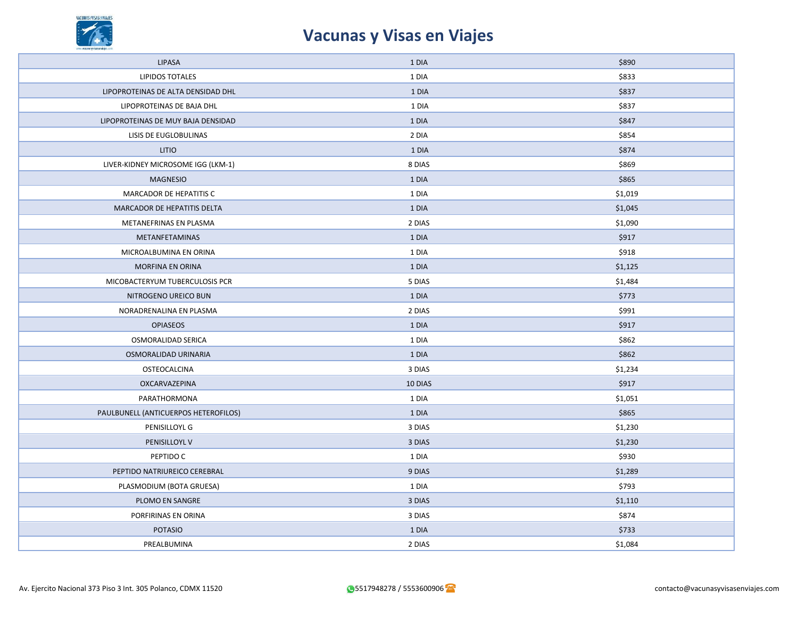

| <b>LIPASA</b>                        | 1 DIA   | \$890   |
|--------------------------------------|---------|---------|
| <b>LIPIDOS TOTALES</b>               | 1 DIA   | \$833   |
| LIPOPROTEINAS DE ALTA DENSIDAD DHL   | 1 DIA   | \$837   |
| LIPOPROTEINAS DE BAJA DHL            | 1 DIA   | \$837   |
| LIPOPROTEINAS DE MUY BAJA DENSIDAD   | 1 DIA   | \$847   |
| LISIS DE EUGLOBULINAS                | 2 DIA   | \$854   |
| <b>LITIO</b>                         | 1 DIA   | \$874   |
| LIVER-KIDNEY MICROSOME IGG (LKM-1)   | 8 DIAS  | \$869   |
| <b>MAGNESIO</b>                      | 1 DIA   | \$865   |
| MARCADOR DE HEPATITIS C              | 1 DIA   | \$1,019 |
| MARCADOR DE HEPATITIS DELTA          | 1 DIA   | \$1,045 |
| METANEFRINAS EN PLASMA               | 2 DIAS  | \$1,090 |
| METANFETAMINAS                       | 1 DIA   | \$917   |
| MICROALBUMINA EN ORINA               | 1 DIA   | \$918   |
| MORFINA EN ORINA                     | 1 DIA   | \$1,125 |
| MICOBACTERYUM TUBERCULOSIS PCR       | 5 DIAS  | \$1,484 |
| NITROGENO UREICO BUN                 | 1 DIA   | \$773   |
| NORADRENALINA EN PLASMA              | 2 DIAS  | \$991   |
| <b>OPIASEOS</b>                      | 1 DIA   | \$917   |
| <b>OSMORALIDAD SERICA</b>            | 1 DIA   | \$862   |
| OSMORALIDAD URINARIA                 | 1 DIA   | \$862   |
| OSTEOCALCINA                         | 3 DIAS  | \$1,234 |
| OXCARVAZEPINA                        | 10 DIAS | \$917   |
| PARATHORMONA                         | 1 DIA   | \$1,051 |
| PAULBUNELL (ANTICUERPOS HETEROFILOS) | 1 DIA   | \$865   |
| PENISILLOYL G                        | 3 DIAS  | \$1,230 |
| PENISILLOYL V                        | 3 DIAS  | \$1,230 |
| PEPTIDO C                            | 1 DIA   | \$930   |
| PEPTIDO NATRIUREICO CEREBRAL         | 9 DIAS  | \$1,289 |
| PLASMODIUM (BOTA GRUESA)             | 1 DIA   | \$793   |
| PLOMO EN SANGRE                      | 3 DIAS  | \$1,110 |
| PORFIRINAS EN ORINA                  | 3 DIAS  | \$874   |
| <b>POTASIO</b>                       | 1 DIA   | \$733   |
| PREALBUMINA                          | 2 DIAS  | \$1,084 |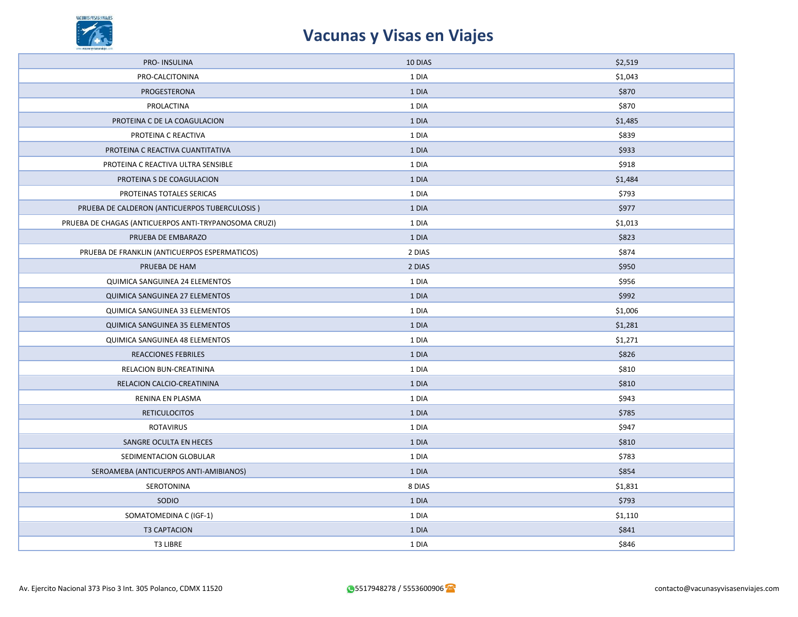

| PRO-INSULINA                                          | 10 DIAS | \$2,519 |
|-------------------------------------------------------|---------|---------|
| PRO-CALCITONINA                                       | 1 DIA   | \$1,043 |
| PROGESTERONA                                          | 1 DIA   | \$870   |
| PROLACTINA                                            | 1 DIA   | \$870   |
| PROTEINA C DE LA COAGULACION                          | 1 DIA   | \$1,485 |
| PROTEINA C REACTIVA                                   | 1 DIA   | \$839   |
| PROTEINA C REACTIVA CUANTITATIVA                      | 1 DIA   | \$933   |
| PROTEINA C REACTIVA ULTRA SENSIBLE                    | 1 DIA   | \$918   |
| PROTEINA S DE COAGULACION                             | 1 DIA   | \$1,484 |
| PROTEINAS TOTALES SERICAS                             | 1 DIA   | \$793   |
| PRUEBA DE CALDERON (ANTICUERPOS TUBERCULOSIS)         | 1 DIA   | \$977   |
| PRUEBA DE CHAGAS (ANTICUERPOS ANTI-TRYPANOSOMA CRUZI) | 1 DIA   | \$1,013 |
| PRUEBA DE EMBARAZO                                    | 1 DIA   | \$823   |
| PRUEBA DE FRANKLIN (ANTICUERPOS ESPERMATICOS)         | 2 DIAS  | \$874   |
| PRUEBA DE HAM                                         | 2 DIAS  | \$950   |
| <b>QUIMICA SANGUINEA 24 ELEMENTOS</b>                 | 1 DIA   | \$956   |
| <b>QUIMICA SANGUINEA 27 ELEMENTOS</b>                 | 1 DIA   | \$992   |
| QUIMICA SANGUINEA 33 ELEMENTOS                        | 1 DIA   | \$1,006 |
| QUIMICA SANGUINEA 35 ELEMENTOS                        | 1 DIA   | \$1,281 |
| <b>QUIMICA SANGUINEA 48 ELEMENTOS</b>                 | 1 DIA   | \$1,271 |
| <b>REACCIONES FEBRILES</b>                            | 1 DIA   | \$826   |
| RELACION BUN-CREATININA                               | 1 DIA   | \$810   |
| RELACION CALCIO-CREATININA                            | 1 DIA   | \$810   |
| RENINA EN PLASMA                                      | 1 DIA   | \$943   |
| <b>RETICULOCITOS</b>                                  | 1 DIA   | \$785   |
| <b>ROTAVIRUS</b>                                      | 1 DIA   | \$947   |
| SANGRE OCULTA EN HECES                                | 1 DIA   | \$810   |
| SEDIMENTACION GLOBULAR                                | 1 DIA   | \$783   |
| SEROAMEBA (ANTICUERPOS ANTI-AMIBIANOS)                | 1 DIA   | \$854   |
| SEROTONINA                                            | 8 DIAS  | \$1,831 |
| SODIO                                                 | 1 DIA   | \$793   |
| SOMATOMEDINA C (IGF-1)                                | 1 DIA   | \$1,110 |
| <b>T3 CAPTACION</b>                                   | 1 DIA   | \$841   |
| T3 LIBRE                                              | 1 DIA   | \$846   |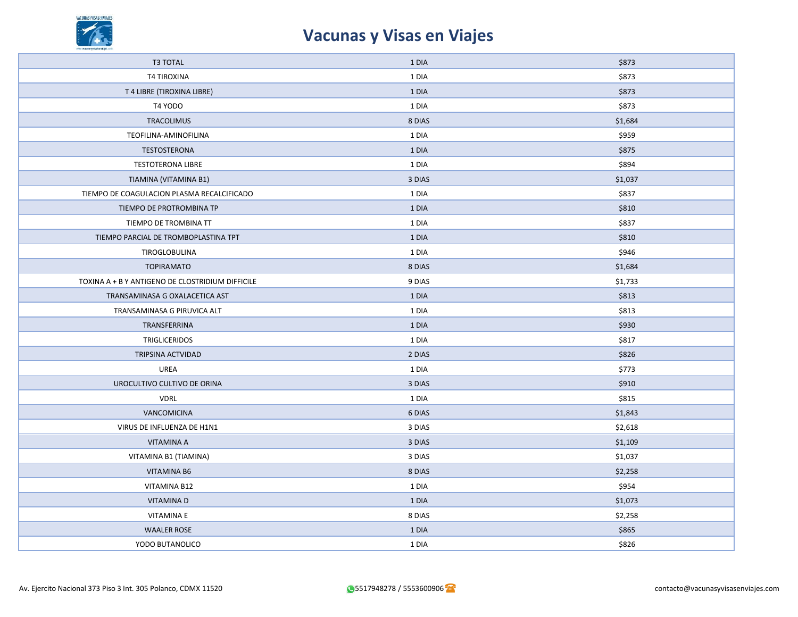

| <b>T3 TOTAL</b>                                  | 1 DIA  | \$873   |
|--------------------------------------------------|--------|---------|
| <b>T4 TIROXINA</b>                               | 1 DIA  | \$873   |
| T 4 LIBRE (TIROXINA LIBRE)                       | 1 DIA  | \$873   |
| T4 YODO                                          | 1 DIA  | \$873   |
| <b>TRACOLIMUS</b>                                | 8 DIAS | \$1,684 |
| TEOFILINA-AMINOFILINA                            | 1 DIA  | \$959   |
| <b>TESTOSTERONA</b>                              | 1 DIA  | \$875   |
| <b>TESTOTERONA LIBRE</b>                         | 1 DIA  | \$894   |
| TIAMINA (VITAMINA B1)                            | 3 DIAS | \$1,037 |
| TIEMPO DE COAGULACION PLASMA RECALCIFICADO       | 1 DIA  | \$837   |
| TIEMPO DE PROTROMBINA TP                         | 1 DIA  | \$810   |
| TIEMPO DE TROMBINA TT                            | 1 DIA  | \$837   |
| TIEMPO PARCIAL DE TROMBOPLASTINA TPT             | 1 DIA  | \$810   |
| TIROGLOBULINA                                    | 1 DIA  | \$946   |
| <b>TOPIRAMATO</b>                                | 8 DIAS | \$1,684 |
| TOXINA A + B Y ANTIGENO DE CLOSTRIDIUM DIFFICILE | 9 DIAS | \$1,733 |
| TRANSAMINASA G OXALACETICA AST                   | 1 DIA  | \$813   |
| TRANSAMINASA G PIRUVICA ALT                      | 1 DIA  | \$813   |
| TRANSFERRINA                                     | 1 DIA  | \$930   |
| <b>TRIGLICERIDOS</b>                             | 1 DIA  | \$817   |
| TRIPSINA ACTVIDAD                                | 2 DIAS | \$826   |
| UREA                                             | 1 DIA  | \$773   |
| UROCULTIVO CULTIVO DE ORINA                      | 3 DIAS | \$910   |
| <b>VDRL</b>                                      | 1 DIA  | \$815   |
| VANCOMICINA                                      | 6 DIAS | \$1,843 |
| VIRUS DE INFLUENZA DE H1N1                       | 3 DIAS | \$2,618 |
| VITAMINA A                                       | 3 DIAS | \$1,109 |
| VITAMINA B1 (TIAMINA)                            | 3 DIAS | \$1,037 |
| <b>VITAMINA B6</b>                               | 8 DIAS | \$2,258 |
| VITAMINA B12                                     | 1 DIA  | \$954   |
| <b>VITAMINAD</b>                                 | 1 DIA  | \$1,073 |
| <b>VITAMINA E</b>                                | 8 DIAS | \$2,258 |
| <b>WAALER ROSE</b>                               | 1 DIA  | \$865   |
| YODO BUTANOLICO                                  | 1 DIA  | \$826   |